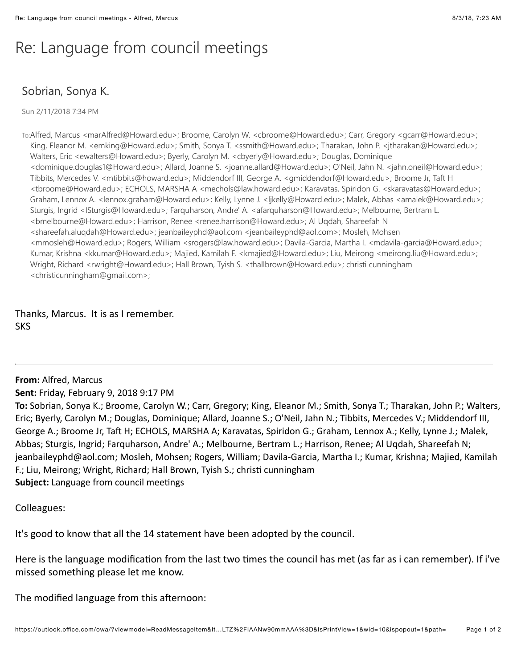## Re: Language from council meetings

## Sobrian, Sonya K.

Sun 2/11/2018 7:34 PM

To:Alfred, Marcus <marAlfred@Howard.edu>; Broome, Carolyn W. <cbroome@Howard.edu>; Carr, Gregory <gcarr@Howard.edu>; King, Eleanor M. <emking@Howard.edu>; Smith, Sonya T. <ssmith@Howard.edu>; Tharakan, John P. <jtharakan@Howard.edu>; Walters, Eric <ewalters@Howard.edu>; Byerly, Carolyn M. <cbyerly@Howard.edu>; Douglas, Dominique <dominique.douglas1@Howard.edu>; Allard, Joanne S. <joanne.allard@Howard.edu>; O'Neil, Jahn N. <jahn.oneil@Howard.edu>; Tibbits, Mercedes V. <mtibbits@howard.edu>; Middendorf III, George A. <gmiddendorf@Howard.edu>; Broome Jr, Taft H <tbroome@Howard.edu>; ECHOLS, MARSHA A <mechols@law.howard.edu>; Karavatas, Spiridon G. <skaravatas@Howard.edu>; Graham, Lennox A. <lennox.graham@Howard.edu>; Kelly, Lynne J. <ljkelly@Howard.edu>; Malek, Abbas <amalek@Howard.edu>; Sturgis, Ingrid <ISturgis@Howard.edu>; Farquharson, Andre' A. <afarquharson@Howard.edu>; Melbourne, Bertram L. <bmelbourne@Howard.edu>; Harrison, Renee <renee.harrison@Howard.edu>; Al Uqdah, Shareefah N <shareefah.aluqdah@Howard.edu>; jeanbaileyphd@aol.com <jeanbaileyphd@aol.com>; Mosleh, Mohsen <mmosleh@Howard.edu>; Rogers, William <srogers@law.howard.edu>; Davila-Garcia, Martha I. <mdavila-garcia@Howard.edu>; Kumar, Krishna <kkumar@Howard.edu>; Majied, Kamilah F. <kmajied@Howard.edu>; Liu, Meirong <meirong.liu@Howard.edu>; Wright, Richard <rwright@Howard.edu>; Hall Brown, Tyish S. <thallbrown@Howard.edu>; christi cunningham <christicunningham@gmail.com>;

Thanks, Marcus. It is as I remember. SKS

**From: Alfred, Marcus** 

**Sent:** Friday, February 9, 2018 9:17 PM

To: Sobrian, Sonya K.; Broome, Carolyn W.; Carr, Gregory; King, Eleanor M.; Smith, Sonya T.; Tharakan, John P.; Walters, Eric; Byerly, Carolyn M.; Douglas, Dominique; Allard, Joanne S.; O'Neil, Jahn N.; Tibbits, Mercedes V.; Middendorf III, George A.; Broome Jr, Taft H; ECHOLS, MARSHA A; Karavatas, Spiridon G.; Graham, Lennox A.; Kelly, Lynne J.; Malek, Abbas; Sturgis, Ingrid; Farquharson, Andre' A.; Melbourne, Bertram L.; Harrison, Renee; Al Uqdah, Shareefah N; jeanbaileyphd@aol.com; Mosleh, Mohsen; Rogers, William; Davila-Garcia, Martha I.; Kumar, Krishna; Majied, Kamilah F.; Liu, Meirong; Wright, Richard; Hall Brown, Tyish S.; christi cunningham Subject: Language from council meetings

Colleagues:

It's good to know that all the 14 statement have been adopted by the council.

Here is the language modification from the last two times the council has met (as far as i can remember). If i've missed something please let me know.

The modified language from this afternoon: